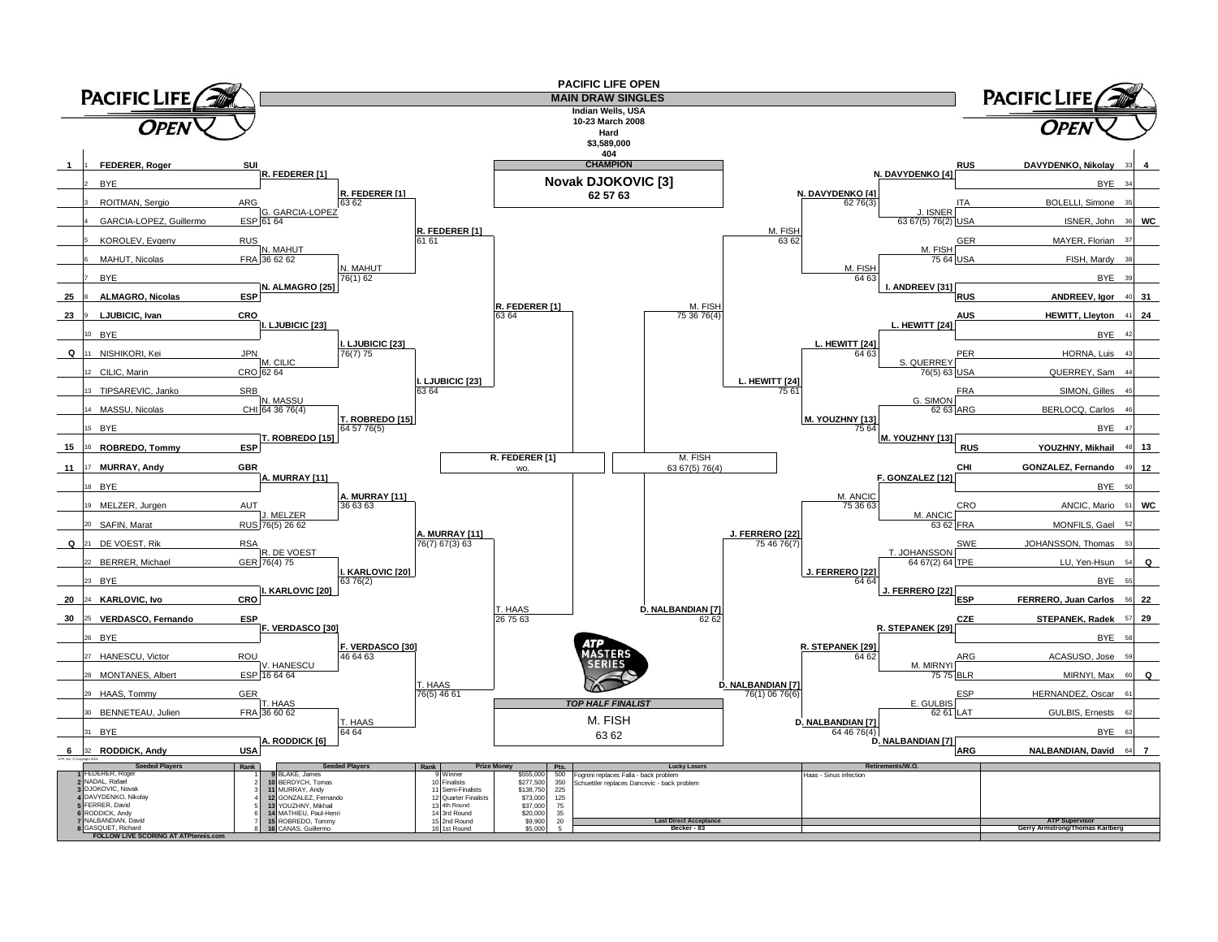